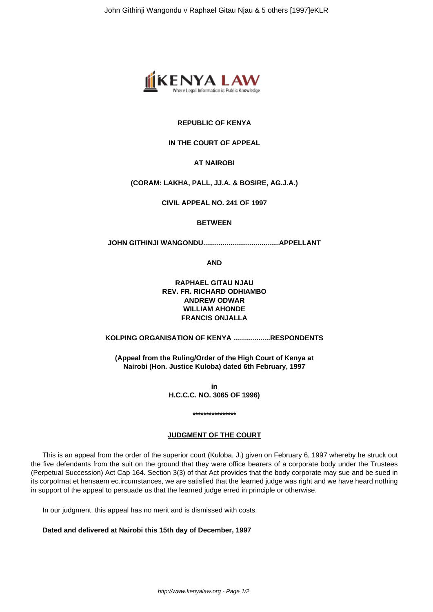

# **REPUBLIC OF KENYA**

# **IN THE COURT OF APPEAL**

# **AT NAIROBI**

# **(CORAM: LAKHA, PALL, JJ.A. & BOSIRE, AG.J.A.)**

**CIVIL APPEAL NO. 241 OF 1997**

## **BETWEEN**

**JOHN GITHINJI WANGONDU.......................................APPELLANT**

**AND**

# **RAPHAEL GITAU NJAU REV. FR. RICHARD ODHIAMBO ANDREW ODWAR WILLIAM AHONDE FRANCIS ONJALLA**

# **KOLPING ORGANISATION OF KENYA ...................RESPONDENTS**

**(Appeal from the Ruling/Order of the High Court of Kenya at Nairobi (Hon. Justice Kuloba) dated 6th February, 1997**

> **in H.C.C.C. NO. 3065 OF 1996)**

### **JUDGMENT OF THE COURT**

**\*\*\*\*\*\*\*\*\*\*\*\*\*\*\*\***

This is an appeal from the order of the superior court (Kuloba, J.) given on February 6, 1997 whereby he struck out the five defendants from the suit on the ground that they were office bearers of a corporate body under the Trustees (Perpetual Succession) Act Cap 164. Section 3(3) of that Act provides that the body corporate may sue and be sued in its corpoIrnat et hensaem ec.ircumstances, we are satisfied that the learned judge was right and we have heard nothing in support of the appeal to persuade us that the learned judge erred in principle or otherwise.

In our judgment, this appeal has no merit and is dismissed with costs.

**Dated and delivered at Nairobi this 15th day of December, 1997**